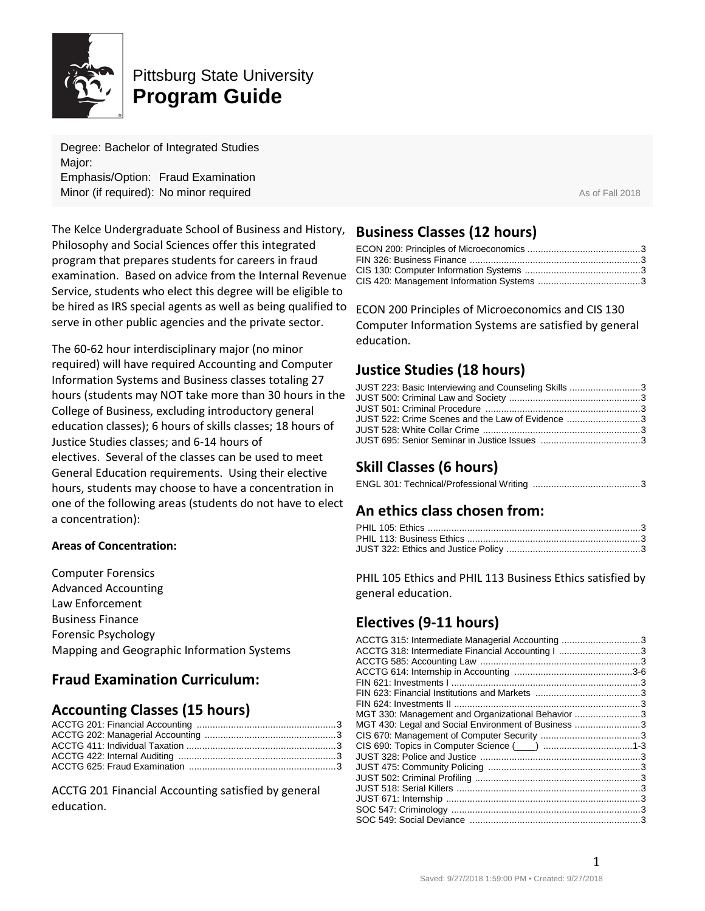

# Pittsburg State University **Program Guide**

Degree: Bachelor of Integrated Studies Major: Emphasis/Option: Fraud Examination **Minor (if required): No minor required Assume The Contract Assume The Contract As of Fall 2018** 

The Kelce Undergraduate School of Business and History, Philosophy and Social Sciences offer this integrated program that prepares students for careers in fraud examination. Based on advice from the Internal Revenue Service, students who elect this degree will be eligible to be hired as IRS special agents as well as being qualified to serve in other public agencies and the private sector.

The 60-62 hour interdisciplinary major (no minor required) will have required Accounting and Computer Information Systems and Business classes totaling 27 hours (students may NOT take more than 30 hours in the College of Business, excluding introductory general education classes); 6 hours of skills classes; 18 hours of Justice Studies classes; and 6-14 hours of electives. Several of the classes can be used to meet General Education requirements. Using their elective hours, students may choose to have a concentration in one of the following areas (students do not have to elect a concentration):

#### **Areas of Concentration:**

Computer Forensics Advanced Accounting Law Enforcement Business Finance Forensic Psychology Mapping and Geographic Information Systems

# **Fraud Examination Curriculum:**

# **Accounting Classes (15 hours)**

ACCTG 201 Financial Accounting satisfied by general education.

# **Business Classes (12 hours)**

ECON 200 Principles of Microeconomics and CIS 130 Computer Information Systems are satisfied by general education.

# **Justice Studies (18 hours)**

| JUST 223: Basic Interviewing and Counseling Skills 3 |  |
|------------------------------------------------------|--|
|                                                      |  |
|                                                      |  |
| JUST 522: Crime Scenes and the Law of Evidence 3     |  |
|                                                      |  |
|                                                      |  |

# **Skill Classes (6 hours)**

|--|--|

# **An ethics class chosen from:**

PHIL 105 Ethics and PHIL 113 Business Ethics satisfied by general education.

# **Electives (9-11 hours)**

| ACCTG 315: Intermediate Managerial Accounting 3     |  |
|-----------------------------------------------------|--|
| ACCTG 318: Intermediate Financial Accounting I 3    |  |
|                                                     |  |
|                                                     |  |
|                                                     |  |
|                                                     |  |
|                                                     |  |
| MGT 330: Management and Organizational Behavior 3   |  |
| MGT 430: Legal and Social Environment of Business 3 |  |
|                                                     |  |
|                                                     |  |
|                                                     |  |
|                                                     |  |
|                                                     |  |
|                                                     |  |
|                                                     |  |
|                                                     |  |
|                                                     |  |
|                                                     |  |

1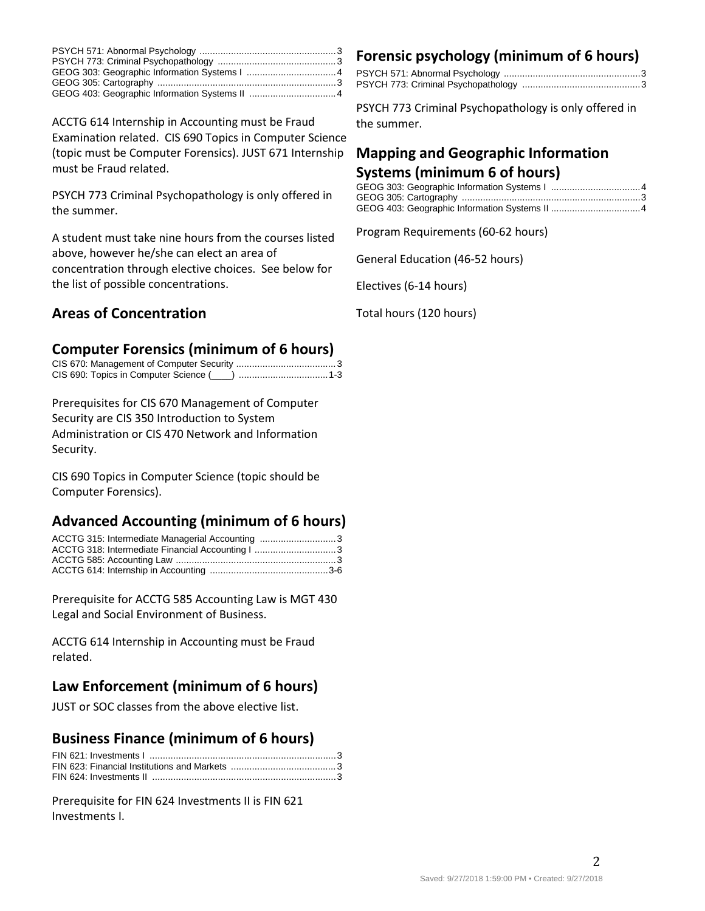ACCTG 614 Internship in Accounting must be Fraud Examination related. CIS 690 Topics in Computer Science (topic must be Computer Forensics). JUST 671 Internship must be Fraud related.

PSYCH 773 Criminal Psychopathology is only offered in the summer.

A student must take nine hours from the courses listed above, however he/she can elect an area of concentration through elective choices. See below for the list of possible concentrations.

# **Areas of Concentration**

# **Computer Forensics (minimum of 6 hours)**

| CIS 690: Topics in Computer Science (\integral numeron material 1-3 |  |
|---------------------------------------------------------------------|--|

Prerequisites for CIS 670 Management of Computer Security are CIS 350 Introduction to System Administration or CIS 470 Network and Information Security.

CIS 690 Topics in Computer Science (topic should be Computer Forensics).

# **Advanced Accounting (minimum of 6 hours)**

| ACCTG 315: Intermediate Managerial Accounting 3  |  |
|--------------------------------------------------|--|
| ACCTG 318: Intermediate Financial Accounting   3 |  |
|                                                  |  |
|                                                  |  |

Prerequisite for ACCTG 585 Accounting Law is MGT 430 Legal and Social Environment of Business.

ACCTG 614 Internship in Accounting must be Fraud related.

# **Law Enforcement (minimum of 6 hours)**

JUST or SOC classes from the above elective list.

#### **Business Finance (minimum of 6 hours)**

Prerequisite for FIN 624 Investments II is FIN 621 Investments I.

# **Forensic psychology (minimum of 6 hours)**

PSYCH 773 Criminal Psychopathology is only offered in the summer.

# **Mapping and Geographic Information Systems (minimum 6 of hours)**

Program Requirements (60-62 hours)

General Education (46-52 hours)

Electives (6-14 hours)

Total hours (120 hours)